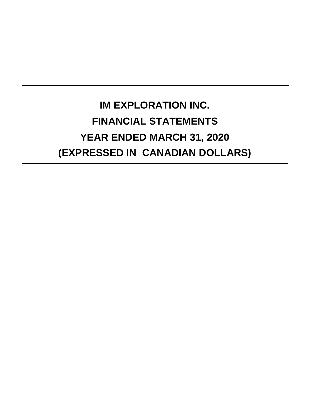# **IM EXPLORATION INC. FINANCIAL STATEMENTS YEAR ENDED MARCH 31, 2020 (EXPRESSED IN CANADIAN DOLLARS)**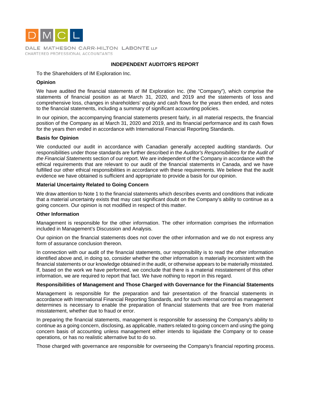

DALE MATHESON CARR-HILTON LABONTE LLP CHARTERED PROFESSIONAL ACCOUNTANTS

# **INDEPENDENT AUDITOR'S REPORT**

#### To the Shareholders of IM Exploration Inc.

#### **Opinion**

We have audited the financial statements of IM Exploration Inc. (the "Company"), which comprise the statements of financial position as at March 31, 2020, and 2019 and the statements of loss and comprehensive loss, changes in shareholders' equity and cash flows for the years then ended, and notes to the financial statements, including a summary of significant accounting policies.

In our opinion, the accompanying financial statements present fairly, in all material respects, the financial position of the Company as at March 31, 2020 and 2019, and its financial performance and its cash flows for the years then ended in accordance with International Financial Reporting Standards.

#### **Basis for Opinion**

We conducted our audit in accordance with Canadian generally accepted auditing standards. Our responsibilities under those standards are further described in the *Auditor's Responsibilities for the Audit of the Financial Statements* section of our report. We are independent of the Company in accordance with the ethical requirements that are relevant to our audit of the financial statements in Canada, and we have fulfilled our other ethical responsibilities in accordance with these requirements. We believe that the audit evidence we have obtained is sufficient and appropriate to provide a basis for our opinion.

#### **Material Uncertainty Related to Going Concern**

We draw attention to Note 1 to the financial statements which describes events and conditions that indicate that a material uncertainty exists that may cast significant doubt on the Company's ability to continue as a going concern. Our opinion is not modified in respect of this matter.

#### **Other Information**

Management is responsible for the other information. The other information comprises the information included in Management's Discussion and Analysis.

Our opinion on the financial statements does not cover the other information and we do not express any form of assurance conclusion thereon.

In connection with our audit of the financial statements, our responsibility is to read the other information identified above and, in doing so, consider whether the other information is materially inconsistent with the financial statements or our knowledge obtained in the audit, or otherwise appears to be materially misstated. If, based on the work we have performed, we conclude that there is a material misstatement of this other information, we are required to report that fact. We have nothing to report in this regard.

#### **Responsibilities of Management and Those Charged with Governance for the Financial Statements**

Management is responsible for the preparation and fair presentation of the financial statements in accordance with International Financial Reporting Standards, and for such internal control as management determines is necessary to enable the preparation of financial statements that are free from material misstatement, whether due to fraud or error.

In preparing the financial statements, management is responsible for assessing the Company's ability to continue as a going concern, disclosing, as applicable, matters related to going concern and using the going concern basis of accounting unless management either intends to liquidate the Company or to cease operations, or has no realistic alternative but to do so.

Those charged with governance are responsible for overseeing the Company's financial reporting process.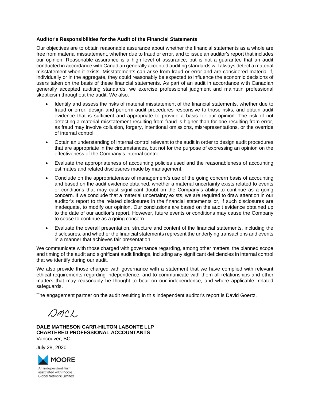#### **Auditor's Responsibilities for the Audit of the Financial Statements**

Our objectives are to obtain reasonable assurance about whether the financial statements as a whole are free from material misstatement, whether due to fraud or error, and to issue an auditor's report that includes our opinion. Reasonable assurance is a high level of assurance, but is not a guarantee that an audit conducted in accordance with Canadian generally accepted auditing standards will always detect a material misstatement when it exists. Misstatements can arise from fraud or error and are considered material if, individually or in the aggregate, they could reasonably be expected to influence the economic decisions of users taken on the basis of these financial statements. As part of an audit in accordance with Canadian generally accepted auditing standards, we exercise professional judgment and maintain professional skepticism throughout the audit. We also:

- Identify and assess the risks of material misstatement of the financial statements, whether due to fraud or error, design and perform audit procedures responsive to those risks, and obtain audit evidence that is sufficient and appropriate to provide a basis for our opinion. The risk of not detecting a material misstatement resulting from fraud is higher than for one resulting from error, as fraud may involve collusion, forgery, intentional omissions, misrepresentations, or the override of internal control.
- Obtain an understanding of internal control relevant to the audit in order to design audit procedures that are appropriate in the circumstances, but not for the purpose of expressing an opinion on the effectiveness of the Company's internal control.
- Evaluate the appropriateness of accounting policies used and the reasonableness of accounting estimates and related disclosures made by management.
- Conclude on the appropriateness of management's use of the going concern basis of accounting and based on the audit evidence obtained, whether a material uncertainty exists related to events or conditions that may cast significant doubt on the Company's ability to continue as a going concern. If we conclude that a material uncertainty exists, we are required to draw attention in our auditor's report to the related disclosures in the financial statements or, if such disclosures are inadequate, to modify our opinion. Our conclusions are based on the audit evidence obtained up to the date of our auditor's report. However, future events or conditions may cause the Company to cease to continue as a going concern.
- Evaluate the overall presentation, structure and content of the financial statements, including the disclosures, and whether the financial statements represent the underlying transactions and events in a manner that achieves fair presentation.

We communicate with those charged with governance regarding, among other matters, the planned scope and timing of the audit and significant audit findings, including any significant deficiencies in internal control that we identify during our audit.

We also provide those charged with governance with a statement that we have complied with relevant ethical requirements regarding independence, and to communicate with them all relationships and other matters that may reasonably be thought to bear on our independence, and where applicable, related safeguards.

The engagement partner on the audit resulting in this independent auditor's report is David Goertz.

 $Omega$ .

**DALE MATHESON CARR-HILTON LABONTE LLP CHARTERED PROFESSIONAL ACCOUNTANTS**  Vancouver, BC

July 28, 2020



An independent firm associated with Moore **Global Network Limited**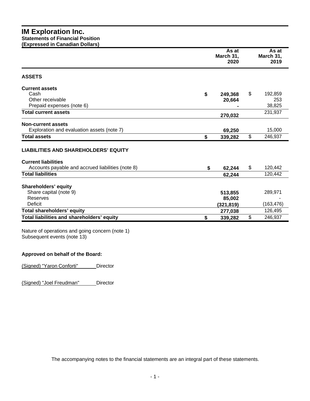# **IM Exploration Inc. Statements of Financial Position (Expressed in Canadian Dollars)**

|                                                   | As at<br>March 31,<br>2020 | As at<br>March 31,<br>2019 |
|---------------------------------------------------|----------------------------|----------------------------|
| <b>ASSETS</b>                                     |                            |                            |
| <b>Current assets</b>                             |                            |                            |
| Cash                                              | \$<br>249,368              | \$<br>192,859              |
| Other receivable                                  | 20,664                     | 253                        |
| Prepaid expenses (note 6)                         |                            | 38,825                     |
| <b>Total current assets</b>                       | 270,032                    | 231,937                    |
| <b>Non-current assets</b>                         |                            |                            |
| Exploration and evaluation assets (note 7)        | 69,250                     | 15,000                     |
| <b>Total assets</b>                               | \$<br>339,282              | \$<br>246,937              |
| <b>LIABILITIES AND SHAREHOLDERS' EQUITY</b>       |                            |                            |
| <b>Current liabilities</b>                        |                            |                            |
| Accounts payable and accrued liabilities (note 8) | \$<br>62,244               | \$<br>120,442              |
| <b>Total liabilities</b>                          | 62,244                     | 120,442                    |
| Shareholders' equity                              |                            |                            |
| Share capital (note 9)                            | 513,855                    | 289,971                    |
| Reserves                                          | 85,002                     |                            |
| <b>Deficit</b>                                    | (321,819)                  | (163, 476)                 |
| Total shareholders' equity                        | 277,038                    | 126,495                    |
| Total liabilities and shareholders' equity        | \$<br>339,282              | \$<br>246,937              |

Nature of operations and going concern (note 1) Subsequent events (note 13)

# **Approved on behalf of the Board:**

(Signed) "Yaron Conforti" Director

(Signed) "Joel Freudman" Director

The accompanying notes to the financial statements are an integral part of these statements.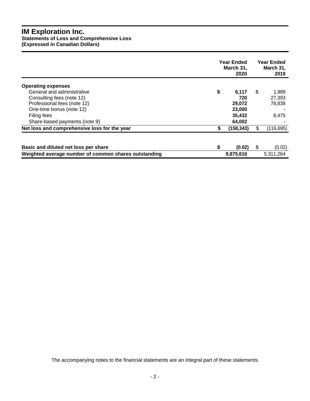# **IM Exploration Inc.**

**Statements of Loss and Comprehensive Loss** 

**(Expressed in Canadian Dollars)** 

|                                                      | <b>Year Ended</b><br>March 31,<br>2020 | <b>Year Ended</b><br>March 31,<br>2019 |
|------------------------------------------------------|----------------------------------------|----------------------------------------|
| <b>Operating expenses</b>                            |                                        |                                        |
| General and administrative                           | \$<br>6,117                            | \$<br>1,989                            |
| Consulting fees (note 12)                            | 720                                    | 27,393                                 |
| Professional fees (note 12)                          | 29,072                                 | 78,838                                 |
| One-time bonus (note 12)                             | 23,000                                 |                                        |
| Filing fees                                          | 35,432                                 | 8,475                                  |
| Share-based payments (note 9)                        | 64,002                                 |                                        |
| Net loss and comprehensive loss for the year         | \$<br>(158, 343)                       | \$<br>(116, 695)                       |
|                                                      |                                        |                                        |
| Basic and diluted net loss per share                 | \$<br>(0.02)                           | \$<br>(0.02)                           |
| Weighted average number of common shares outstanding | 9,875,616                              | 5,311,264                              |

The accompanying notes to the financial statements are an integral part of these statements.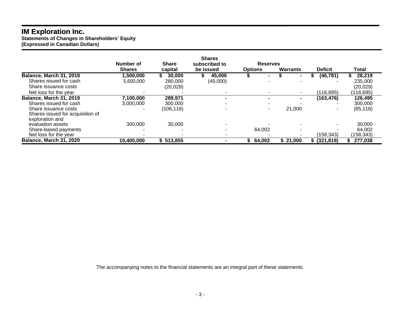# **IM Exploration Inc.**

**Statements of Changes in Shareholders' Equity (Expressed in Canadian Dollars)** 

|                                                     | Number of     | <b>Share</b> | <b>Shares</b><br>subscribed to | <b>Reserves</b> |                 |                  |            |
|-----------------------------------------------------|---------------|--------------|--------------------------------|-----------------|-----------------|------------------|------------|
|                                                     | <b>Shares</b> | capital      | be issued                      | <b>Options</b>  | <b>Warrants</b> | <b>Deficit</b>   | Total      |
| <b>Balance, March 31, 2018</b>                      | ,500,000      | 30,000       | 45,000                         |                 |                 | (46, 781)        | 28,219     |
| Shares issued for cash                              | 5,600,000     | 280,000      | (45,000)                       |                 |                 |                  | 235,000    |
| Share issuance costs                                |               | (20, 029)    |                                |                 |                 |                  | (20, 029)  |
| Net loss for the year                               |               |              |                                |                 |                 | (116, 695)       | (116, 695) |
| <b>Balance, March 31, 2019</b>                      | 7,100,000     | 289,971      | $\blacksquare$                 |                 |                 | (163, 476)       | 126,495    |
| Shares issued for cash                              | 3,000,000     | 300,000      | $\overline{\phantom{a}}$       |                 |                 |                  | 300,000    |
| Share issuance costs                                |               | (106, 116)   |                                |                 | 21,000          | ۰                | (85, 116)  |
| Shares issued for acquisition of<br>exploration and |               |              |                                |                 |                 |                  |            |
| evaluation assets                                   | 300,000       | 30,000       |                                |                 |                 |                  | 30,000     |
| Share-based payments                                |               |              | $\overline{\phantom{a}}$       | 64,002          |                 |                  | 64,002     |
| Net loss for the year                               |               |              |                                |                 |                 | (158,343)        | (158, 343) |
| <b>Balance, March 31, 2020</b>                      | 10,400,000    | \$513,855    |                                | 64,002          | \$21,000        | $$^{(321, 819)}$ | 277,038    |

The accompanying notes to the financial statements are an integral part of these statements.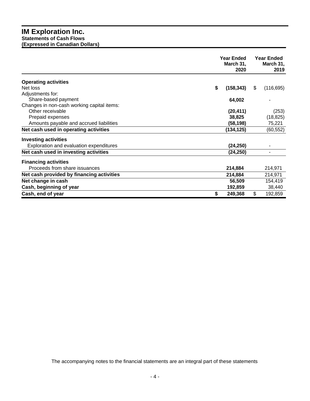# **IM Exploration Inc. Statements of Cash Flows (Expressed in Canadian Dollars)**

|                                            | <b>Year Ended</b><br>March 31,<br>2020 | <b>Year Ended</b><br>March 31,<br>2019 |
|--------------------------------------------|----------------------------------------|----------------------------------------|
| <b>Operating activities</b>                |                                        |                                        |
| Net loss                                   | \$<br>(158, 343)                       | \$<br>(116, 695)                       |
| Adjustments for:                           |                                        |                                        |
| Share-based payment                        | 64,002                                 |                                        |
| Changes in non-cash working capital items: |                                        |                                        |
| Other receivable                           | (20, 411)                              | (253)                                  |
| Prepaid expenses                           | 38,825                                 | (18, 825)                              |
| Amounts payable and accrued liabilities    | (58, 198)                              | 75,221                                 |
| Net cash used in operating activities      | (134, 125)                             | (60, 552)                              |
| <b>Investing activities</b>                |                                        |                                        |
| Exploration and evaluation expenditures    | (24, 250)                              |                                        |
| Net cash used in investing activities      | (24, 250)                              |                                        |
| <b>Financing activities</b>                |                                        |                                        |
| Proceeds from share issuances              | 214,884                                | 214,971                                |
| Net cash provided by financing activities  | 214,884                                | 214,971                                |
| Net change in cash                         | 56,509                                 | 154,419                                |
| Cash, beginning of year                    | 192,859                                | 38,440                                 |
| Cash, end of year                          | S<br>249,368                           | \$<br>192,859                          |

The accompanying notes to the financial statements are an integral part of these statements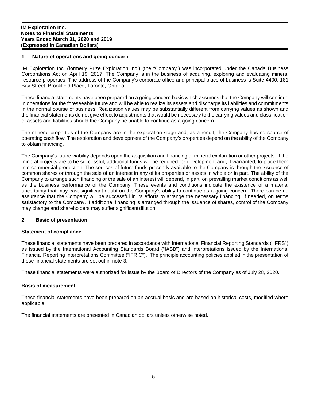# **1. Nature of operations and going concern**

IM Exploration Inc. (formerly Prize Exploration Inc.) (the "Company") was incorporated under the Canada Business Corporations Act on April 19, 2017. The Company is in the business of acquiring, exploring and evaluating mineral resource properties. The address of the Company's corporate office and principal place of business is Suite 4400, 181 Bay Street, Brookfield Place, Toronto, Ontario.

These financial statements have been prepared on a going concern basis which assumes that the Company will continue in operations for the foreseeable future and will be able to realize its assets and discharge its liabilities and commitments in the normal course of business. Realization values may be substantially different from carrying values as shown and the financial statements do not give effect to adjustments that would be necessary to the carrying values and classification of assets and liabilities should the Company be unable to continue as a going concern.

The mineral properties of the Company are in the exploration stage and, as a result, the Company has no source of operating cash flow. The exploration and development of the Company's properties depend on the ability of the Company to obtain financing.

The Company's future viability depends upon the acquisition and financing of mineral exploration or other projects. If the mineral projects are to be successful, additional funds will be required for development and, if warranted, to place them into commercial production. The sources of future funds presently available to the Company is through the issuance of common shares or through the sale of an interest in any of its properties or assets in whole or in part. The ability of the Company to arrange such financing or the sale of an interest will depend, in part, on prevailing market conditions as well as the business performance of the Company. These events and conditions indicate the existence of a material uncertainty that may cast significant doubt on the Company's ability to continue as a going concern. There can be no assurance that the Company will be successful in its efforts to arrange the necessary financing, if needed, on terms satisfactory to the Company. If additional financing is arranged through the issuance of shares, control of the Company may change and shareholders may suffer significant dilution.

# **2. Basic of presentation**

#### **Statement of compliance**

These financial statements have been prepared in accordance with International Financial Reporting Standards ("IFRS") as issued by the International Accounting Standards Board ("IASB") and interpretations issued by the International Financial Reporting Interpretations Committee ("IFRIC"). The principle accounting policies applied in the presentation of these financial statements are set out in note 3.

These financial statements were authorized for issue by the Board of Directors of the Company as of July 28, 2020.

#### **Basis of measurement**

These financial statements have been prepared on an accrual basis and are based on historical costs, modified where applicable.

The financial statements are presented in Canadian dollars unless otherwise noted.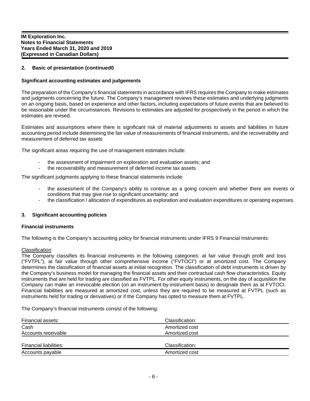# **2. Basic of presentation (continued0**

# **Significant accounting estimates and judgements**

The preparation of the Company's financial statements in accordance with IFRS requires the Company to make estimates and judgments concerning the future. The Company's management reviews these estimates and underlying judgments on an ongoing basis, based on experience and other factors, including expectations of future events that are believed to be reasonable under the circumstances. Revisions to estimates are adjusted for prospectively in the period in which the estimates are revised.

Estimates and assumptions where there is significant risk of material adjustments to assets and liabilities in future accounting period include determining the fair value of measurements of financial instruments, and the recoverability and measurement of deferred tax assets

The significant areas requiring the use of management estimates include:

- the assessment of impairment on exploration and evaluation assets; and
- the recoverability and measurement of deferred income tax assets.

The significant judgments applying to these financial statements include:

- the assessment of the Company's ability to continue as a going concern and whether there are events or conditions that may give rise to significant uncertainty; and
- the classification / allocation of expenditures as exploration and evaluation expenditures or operating expenses.

#### **3. Significant accounting policies**

#### **Financial instruments**

The following is the Company's accounting policy for financial instruments under IFRS 9 Financial Instruments:

#### **Classification**

The Company classifies its financial instruments in the following categories: at fair value through profit and loss ("FVTPL"), at fair value through other comprehensive income ("FVTOCI") or at amortized cost. The Company determines the classification of financial assets at initial recognition. The classification of debt instruments is driven by the Company's business model for managing the financial assets and their contractual cash flow characteristics. Equity instruments that are held for trading are classified as FVTPL. For other equity instruments, on the day of acquisition the Company can make an irrevocable election (on an instrument-by-instrument basis) to designate them as at FVTOCI. Financial liabilities are measured at amortized cost, unless they are required to be measured at FVTPL (such as instruments held for trading or derivatives) or if the Company has opted to measure them at FVTPL.

The Company's financial instruments consist of the following:

| Financial assets:      | Classification: |  |
|------------------------|-----------------|--|
| Cash                   | Amortized cost  |  |
| Accounts receivable    | Amortized cost  |  |
|                        |                 |  |
| Financial liabilities: | Classification: |  |
| Accounts payable       | Amortized cost  |  |
|                        |                 |  |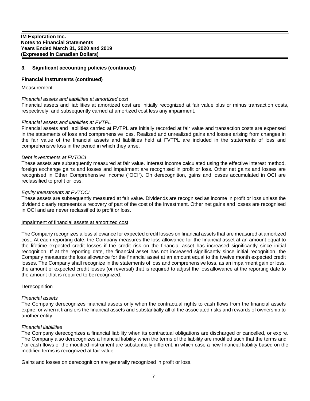# **Financial instruments (continued)**

#### Measurement

#### *Financial assets and liabilities at amortized cost*

Financial assets and liabilities at amortized cost are initially recognized at fair value plus or minus transaction costs, respectively, and subsequently carried at amortized cost less any impairment.

#### *Financial assets and liabilities at FVTPL*

Financial assets and liabilities carried at FVTPL are initially recorded at fair value and transaction costs are expensed in the statements of loss and comprehensive loss. Realized and unrealized gains and losses arising from changes in the fair value of the financial assets and liabilities held at FVTPL are included in the statements of loss and comprehensive loss in the period in which they arise.

#### *Debt investments at FVTOCI*

These assets are subsequently measured at fair value. Interest income calculated using the effective interest method, foreign exchange gains and losses and impairment are recognised in profit or loss. Other net gains and losses are recognised in Other Comprehensive Income ("OCI"). On derecognition, gains and losses accumulated in OCI are reclassified to profit or loss.

#### *Equity investments at FVTOCI*

These assets are subsequently measured at fair value. Dividends are recognised as income in profit or loss unless the dividend clearly represents a recovery of part of the cost of the investment. Other net gains and losses are recognised in OCI and are never reclassified to profit or loss.

#### Impairment of financial assets at amortized cost

The Company recognizes a loss allowance for expected credit losses on financial assets that are measured at amortized cost. At each reporting date, the Company measures the loss allowance for the financial asset at an amount equal to the lifetime expected credit losses if the credit risk on the financial asset has increased significantly since initial recognition. If at the reporting date, the financial asset has not increased significantly since initial recognition, the Company measures the loss allowance for the financial asset at an amount equal to the twelve month expected credit losses. The Company shall recognize in the statements of loss and comprehensive loss, as an impairment gain or loss, the amount of expected credit losses (or reversal) that is required to adjust the loss allowance at the reporting date to the amount that is required to be recognized.

#### **Derecognition**

#### *Financial assets*

The Company derecognizes financial assets only when the contractual rights to cash flows from the financial assets expire, or when it transfers the financial assets and substantially all of the associated risks and rewards of ownership to another entity.

#### *Financial liabilities*

The Company derecognizes a financial liability when its contractual obligations are discharged or cancelled, or expire. The Company also derecognizes a financial liability when the terms of the liability are modified such that the terms and / or cash flows of the modified instrument are substantially different, in which case a new financial liability based on the modified terms is recognized at fair value.

Gains and losses on derecognition are generally recognized in profit or loss.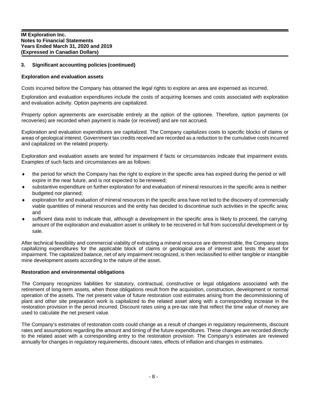#### **Exploration and evaluation assets**

Costs incurred before the Company has obtained the legal rights to explore an area are expensed as incurred.

Exploration and evaluation expenditures include the costs of acquiring licenses and costs associated with exploration and evaluation activity. Option payments are capitalized.

Property option agreements are exercisable entirely at the option of the optionee. Therefore, option payments (or recoveries) are recorded when payment is made (or received) and are not accrued.

Exploration and evaluation expenditures are capitalized. The Company capitalizes costs to specific blocks of claims or areas of geological interest. Government tax credits received are recorded as a reduction to the cumulative costs incurred and capitalized on the related property.

Exploration and evaluation assets are tested for impairment if facts or circumstances indicate that impairment exists. Examples of such facts and circumstances are as follows:

- the period for which the Company has the right to explore in the specific area has expired during the period or will expire in the near future, and is not expected to be renewed;
- substantive expenditure on further exploration for and evaluation of mineral resources in the specific area is neither budgeted nor planned;
- exploration for and evaluation of mineral resources in the specific area have not led to the discovery of commercially viable quantities of mineral resources and the entity has decided to discontinue such activities in the specific area; and
- sufficient data exist to indicate that, although a development in the specific area is likely to proceed, the carrying amount of the exploration and evaluation asset is unlikely to be recovered in full from successful development or by sale.

After technical feasibility and commercial viability of extracting a mineral resource are demonstrable, the Company stops capitalizing expenditures for the applicable block of claims or geological area of interest and tests the asset for impairment. The capitalized balance, net of any impairment recognized, is then reclassified to either tangible or intangible mine development assets according to the nature of the asset.

#### **Restoration and environmental obligations**

The Company recognizes liabilities for statutory, contractual, constructive or legal obligations associated with the retirement of long-term assets, when those obligations result from the acquisition, construction, development or normal operation of the assets. The net present value of future restoration cost estimates arising from the decommissioning of plant and other site preparation work is capitalized to the related asset along with a corresponding increase in the restoration provision in the period incurred. Discount rates using a pre-tax rate that reflect the time value of money are used to calculate the net present value.

The Company's estimates of restoration costs could change as a result of changes in regulatory requirements, discount rates and assumptions regarding the amount and timing of the future expenditures. These changes are recorded directly to the related asset with a corresponding entry to the restoration provision. The Company's estimates are reviewed annually for changes in regulatory requirements, discount rates, effects of inflation and changes in estimates.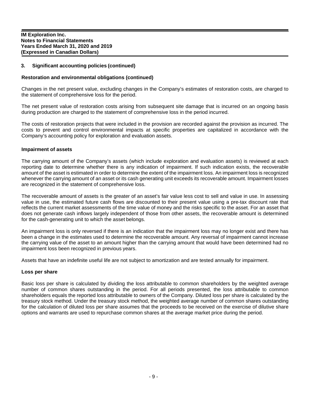# **Restoration and environmental obligations (continued)**

Changes in the net present value, excluding changes in the Company's estimates of restoration costs, are charged to the statement of comprehensive loss for the period.

The net present value of restoration costs arising from subsequent site damage that is incurred on an ongoing basis during production are charged to the statement of comprehensive loss in the period incurred.

The costs of restoration projects that were included in the provision are recorded against the provision as incurred. The costs to prevent and control environmental impacts at specific properties are capitalized in accordance with the Company's accounting policy for exploration and evaluation assets.

#### **Impairment of assets**

The carrying amount of the Company's assets (which include exploration and evaluation assets) is reviewed at each reporting date to determine whether there is any indication of impairment. If such indication exists, the recoverable amount of the asset is estimated in order to determine the extent of the impairment loss. An impairment loss is recognized whenever the carrying amount of an asset or its cash generating unit exceeds its recoverable amount. Impairment losses are recognized in the statement of comprehensive loss.

The recoverable amount of assets is the greater of an asset's fair value less cost to sell and value in use. In assessing value in use, the estimated future cash flows are discounted to their present value using a pre-tax discount rate that reflects the current market assessments of the time value of money and the risks specific to the asset. For an asset that does not generate cash inflows largely independent of those from other assets, the recoverable amount is determined for the cash-generating unit to which the asset belongs.

An impairment loss is only reversed if there is an indication that the impairment loss may no longer exist and there has been a change in the estimates used to determine the recoverable amount. Any reversal of impairment cannot increase the carrying value of the asset to an amount higher than the carrying amount that would have been determined had no impairment loss been recognized in previous years.

Assets that have an indefinite useful life are not subject to amortization and are tested annually for impairment.

#### **Loss per share**

Basic loss per share is calculated by dividing the loss attributable to common shareholders by the weighted average number of common shares outstanding in the period. For all periods presented, the loss attributable to common shareholders equals the reported loss attributable to owners of the Company. Diluted loss per share is calculated by the treasury stock method. Under the treasury stock method, the weighted average number of common shares outstanding for the calculation of diluted loss per share assumes that the proceeds to be received on the exercise of dilutive share options and warrants are used to repurchase common shares at the average market price during the period.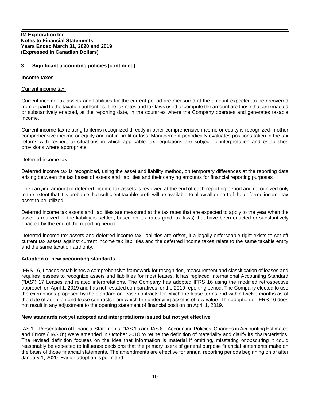#### **Income taxes**

#### Current income tax:

Current income tax assets and liabilities for the current period are measured at the amount expected to be recovered from or paid to the taxation authorities. The tax rates and tax laws used to compute the amount are those that are enacted or substantively enacted, at the reporting date, in the countries where the Company operates and generates taxable income.

Current income tax relating to items recognized directly in other comprehensive income or equity is recognized in other comprehensive income or equity and not in profit or loss. Management periodically evaluates positions taken in the tax returns with respect to situations in which applicable tax regulations are subject to interpretation and establishes provisions where appropriate.

#### Deferred income tax:

Deferred income tax is recognized, using the asset and liability method, on temporary differences at the reporting date arising between the tax bases of assets and liabilities and their carrying amounts for financial reporting purposes

The carrying amount of deferred income tax assets is reviewed at the end of each reporting period and recognized only to the extent that it is probable that sufficient taxable profit will be available to allow all or part of the deferred income tax asset to be utilized.

Deferred income tax assets and liabilities are measured at the tax rates that are expected to apply to the year when the asset is realized or the liability is settled, based on tax rates (and tax laws) that have been enacted or substantively enacted by the end of the reporting period.

Deferred income tax assets and deferred income tax liabilities are offset, if a legally enforceable right exists to set off current tax assets against current income tax liabilities and the deferred income taxes relate to the same taxable entity and the same taxation authority.

#### **Adoption of new accounting standards.**

IFRS 16, Leases establishes a comprehensive framework for recognition, measurement and classification of leases and requires lessees to recognize assets and liabilities for most leases. It has replaced International Accounting Standard ("IAS") 17 Leases and related interpretations. The Company has adopted IFRS 16 using the modified retrospective approach on April 1, 2019 and has not restated comparatives for the 2019 reporting period. The Company elected to use the exemptions proposed by the standard on lease contracts for which the lease terms end within twelve months as of the date of adoption and lease contracts from which the underlying asset is of low value. The adoption of IFRS 16 does not result in any adjustment to the opening statement of financial position on April 1, 2019.

#### **New standards not yet adopted and interpretations issued but not yet effective**

IAS 1 – Presentation of Financial Statements ("IAS 1") and IAS 8 – Accounting Policies, Changes in Accounting Estimates and Errors ("IAS 8") were amended in October 2018 to refine the definition of materiality and clarify its characteristics. The revised definition focuses on the idea that information is material if omitting, misstating or obscuring it could reasonably be expected to influence decisions that the primary users of general purpose financial statements make on the basis of those financial statements. The amendments are effective for annual reporting periods beginning on or after January 1, 2020. Earlier adoption is permitted.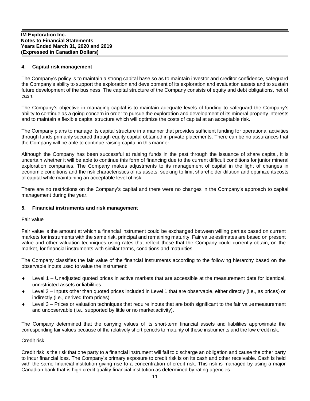# **4. Capital risk management**

The Company's policy is to maintain a strong capital base so as to maintain investor and creditor confidence, safeguard the Company's ability to support the exploration and development of its exploration and evaluation assets and to sustain future development of the business. The capital structure of the Company consists of equity and debt obligations, net of cash.

The Company's objective in managing capital is to maintain adequate levels of funding to safeguard the Company's ability to continue as a going concern in order to pursue the exploration and development of its mineral property interests and to maintain a flexible capital structure which will optimize the costs of capital at an acceptable risk.

The Company plans to manage its capital structure in a manner that provides sufficient funding for operational activities through funds primarily secured through equity capital obtained in private placements. There can be no assurances that the Company will be able to continue raising capital in this manner.

Although the Company has been successful at raising funds in the past through the issuance of share capital, it is uncertain whether it will be able to continue this form of financing due to the current difficult conditions for junior mineral exploration companies. The Company makes adjustments to its management of capital in the light of changes in economic conditions and the risk characteristics of its assets, seeking to limit shareholder dilution and optimize its costs of capital while maintaining an acceptable level of risk.

There are no restrictions on the Company's capital and there were no changes in the Company's approach to capital management during the year.

#### **5. Financial instruments and risk management**

#### Fair value

Fair value is the amount at which a financial instrument could be exchanged between willing parties based on current markets for instruments with the same risk, principal and remaining maturity. Fair value estimates are based on present value and other valuation techniques using rates that reflect those that the Company could currently obtain, on the market, for financial instruments with similar terms, conditions and maturities.

The Company classifies the fair value of the financial instruments according to the following hierarchy based on the observable inputs used to value the instrument:

- Level 1 Unadjusted quoted prices in active markets that are accessible at the measurement date for identical, unrestricted assets or liabilities.
- Level 2 Inputs other than quoted prices included in Level 1 that are observable, either directly (i.e., as prices) or indirectly (i.e., derived from prices).
- Level 3 Prices or valuation techniques that require inputs that are both significant to the fair value measurement and unobservable (i.e., supported by little or no market activity).

The Company determined that the carrying values of its short-term financial assets and liabilities approximate the corresponding fair values because of the relatively short periods to maturity of these instruments and the low credit risk.

#### Credit risk

Credit risk is the risk that one party to a financial instrument will fail to discharge an obligation and cause the other party to incur financial loss. The Company's primary exposure to credit risk is on its cash and other receivable. Cash is held with the same financial institution giving rise to a concentration of credit risk. This risk is managed by using a major Canadian bank that is high credit quality financial institution as determined by rating agencies.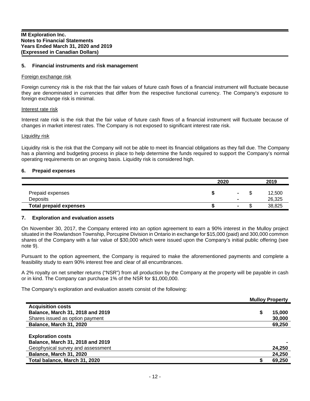# **5. Financial instruments and risk management**

#### Foreign exchange risk

Foreign currency risk is the risk that the fair values of future cash flows of a financial instrument will fluctuate because they are denominated in currencies that differ from the respective functional currency. The Company's exposure to foreign exchange risk is minimal.

#### Interest rate risk

Interest rate risk is the risk that the fair value of future cash flows of a financial instrument will fluctuate because of changes in market interest rates. The Company is not exposed to significant interest rate risk.

#### Liquidity risk

Liquidity risk is the risk that the Company will not be able to meet its financial obligations as they fall due. The Company has a planning and budgeting process in place to help determine the funds required to support the Company's normal operating requirements on an ongoing basis. Liquidity risk is considered high.

#### **6. Prepaid expenses**

|                                     | 2020 |                                            |     |                  |
|-------------------------------------|------|--------------------------------------------|-----|------------------|
| Prepaid expenses<br><b>Deposits</b> |      | $\blacksquare$<br>$\overline{\phantom{a}}$ |     | 12,500<br>26,325 |
| <b>Total prepaid expenses</b>       |      | $\overline{\phantom{a}}$                   | ιIJ | 38,825           |

#### **7. Exploration and evaluation assets**

On November 30, 2017, the Company entered into an option agreement to earn a 90% interest in the Mulloy project situated in the Rowlandson Township, Porcupine Division in Ontario in exchange for \$15,000 (paid) and 300,000 common shares of the Company with a fair value of \$30,000 which were issued upon the Company's initial public offering (see note 9).

Pursuant to the option agreement, the Company is required to make the aforementioned payments and complete a feasibility study to earn 90% interest free and clear of all encumbrances.

A 2% royalty on net smelter returns ("NSR") from all production by the Company at the property will be payable in cash or in kind. The Company can purchase 1% of the NSR for \$1,000,000.

The Company's exploration and evaluation assets consist of the following:

|                                   | <b>Mulloy Property</b> |        |
|-----------------------------------|------------------------|--------|
| <b>Acquisition costs</b>          |                        |        |
| Balance, March 31, 2018 and 2019  | S                      | 15,000 |
| Shares issued as option payment   |                        | 30,000 |
| <b>Balance, March 31, 2020</b>    |                        | 69,250 |
|                                   |                        |        |
| <b>Exploration costs</b>          |                        |        |
| Balance, March 31, 2018 and 2019  |                        |        |
| Geophysical survey and assessment |                        | 24,250 |
| <b>Balance, March 31, 2020</b>    |                        | 24,250 |
| Total balance, March 31, 2020     |                        | 69,250 |
|                                   |                        |        |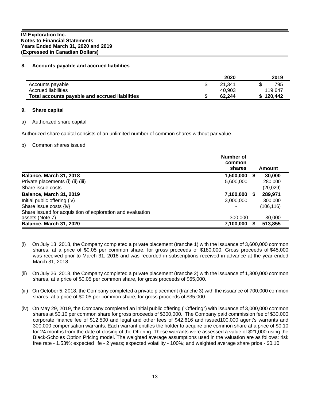# **8. Accounts payable and accrued liabilities**

|                                                | 2020   | 2019    |
|------------------------------------------------|--------|---------|
| Accounts payable                               | 21.341 | 795     |
| Accrued liabilities                            | 40.903 | 119.647 |
| Total accounts payable and accrued liabilities | 62.244 | 120.442 |

#### **9. Share capital**

#### a) Authorized share capital

Authorized share capital consists of an unlimited number of common shares without par value.

#### b) Common shares issued

|                                                            | Number of<br>common<br>shares |   | Amount     |
|------------------------------------------------------------|-------------------------------|---|------------|
| Balance, March 31, 2018                                    | 1,500,000                     | Ъ | 30,000     |
| Private placements (i) (ii) (iii)                          | 5,600,000                     |   | 280,000    |
| Share issue costs                                          | -                             |   | (20, 029)  |
| <b>Balance, March 31, 2019</b>                             | 7,100,000                     | S | 289,971    |
| Initial public offering (iv)                               | 3,000,000                     |   | 300,000    |
| Share issue costs {iv}                                     |                               |   | (106, 116) |
| Share issued for acquisition of exploration and evaluation |                               |   |            |
| assets (Note 7)                                            | 300,000                       |   | 30,000     |
| Balance, March 31, 2020                                    | 7,100,000                     |   | 513,855    |

- (i) On July 13, 2018, the Company completed a private placement (tranche 1) with the issuance of 3,600,000 common shares, at a price of \$0.05 per common share, for gross proceeds of \$180,000. Gross proceeds of \$45,000 was received prior to March 31, 2018 and was recorded in subscriptions received in advance at the year ended March 31, 2018.
- (ii) On July 26, 2018, the Company completed a private placement (tranche 2) with the issuance of 1,300,000 common shares, at a price of \$0.05 per common share, for gross proceeds of \$65,000.
- (iii) On October 5, 2018, the Company completed a private placement (tranche 3) with the issuance of 700,000 common shares, at a price of \$0.05 per common share, for gross proceeds of \$35,000.
- (iv) On May 29, 2019, the Company completed an initial public offering ("Offering") with issuance of 3,000,000 common shares at \$0.10 per common share for gross proceeds of \$300,000. The Company paid commission fee of \$30,000 corporate finance fee of \$12,500 and legal and other fees of \$42,616 and issued100,000 agent's warrants and 300,000 compensation warrants. Each warrant entitles the holder to acquire one common share at a price of \$0.10 for 24 months from the date of closing of the Offering. These warrants were assessed a value of \$21,000 using the Black-Scholes Option Pricing model. The weighted average assumptions used in the valuation are as follows: risk free rate - 1.53%; expected life - 2 years; expected volatility - 100%; and weighted average share price - \$0.10.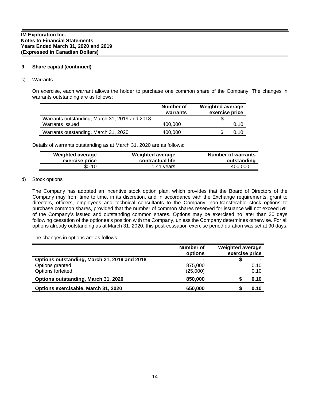# **9. Share capital (continued)**

#### c) Warrants

On exercise, each warrant allows the holder to purchase one common share of the Company. The changes in warrants outstanding are as follows:

|                                               | Number of<br>warrants | <b>Weighted average</b><br>exercise price |
|-----------------------------------------------|-----------------------|-------------------------------------------|
| Warrants outstanding, March 31, 2019 and 2018 | ۰                     | -                                         |
| Warrants issued                               | 400.000               | 0.10                                      |
| Warrants outstanding, March 31, 2020          | 400,000               | 0.10                                      |

Details of warrants outstanding as at March 31, 2020 are as follows:

| <b>Weighted average</b> | <b>Weighted average</b> | <b>Number of warrants</b> |
|-------------------------|-------------------------|---------------------------|
| exercise price          | contractual life        | outstanding               |
| \$0.10                  | 1.41 years              | 400.000                   |

#### d) Stock options

The Company has adopted an incentive stock option plan, which provides that the Board of Directors of the Company may from time to time, in its discretion, and in accordance with the Exchange requirements, grant to directors, officers, employees and technical consultants to the Company, non-transferable stock options to purchase common shares, provided that the number of common shares reserved for issuance will not exceed 5% of the Company's issued and outstanding common shares. Options may be exercised no later than 30 days following cessation of the optionee's position with the Company, unless the Company determines otherwise. For all options already outstanding as at March 31, 2020, this post-cessation exercise period duration was set at 90 days.

The changes in options are as follows:

|                                              | Number of<br>options | <b>Weighted average</b><br>exercise price |      |
|----------------------------------------------|----------------------|-------------------------------------------|------|
| Options outstanding, March 31, 2019 and 2018 |                      |                                           |      |
| Options granted                              | 875,000              |                                           | 0.10 |
| Options forfeited                            | (25,000)             |                                           | 0.10 |
| Options outstanding, March 31, 2020          | 850,000              |                                           | 0.10 |
| Options exercisable, March 31, 2020          | 650,000              |                                           | 0.10 |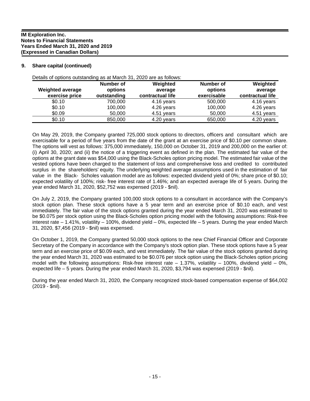# **9. Share capital (continued)**

| <b>Weighted average</b><br>exercise price | Number of<br>options<br>outstanding | Weighted<br>average<br>contractual life | Number of<br>options<br>exercisable | Weighted<br>average<br>contractual life |
|-------------------------------------------|-------------------------------------|-----------------------------------------|-------------------------------------|-----------------------------------------|
| \$0.10                                    | 700,000                             | 4.16 years                              | 500,000                             | 4.16 years                              |
| \$0.10                                    | 100,000                             | 4.26 years                              | 100,000                             | 4.26 years                              |
| \$0.09                                    | 50,000                              | 4.51 years                              | 50,000                              | 4.51 years                              |
| \$0.10                                    | 850,000                             | 4.20 years                              | 650,000                             | 4.20 years                              |

Details of options outstanding as at March 31, 2020 are as follows:

On May 29, 2019, the Company granted 725,000 stock options to directors, officers and consultant which are exercisable for a period of five years from the date of the grant at an exercise price of \$0.10 per common share. The options will vest as follows: 375,000 immediately, 150,000 on October 31, 2019 and 200,000 on the earlier of: (i) April 30, 2020; and (ii) the notice of a triggering event as defined in the plan. The estimated fair value of the options at the grant date was \$54,000 using the Black-Scholes option pricing model. The estimated fair value of the vested options have been charged to the statement of loss and comprehensive loss and credited to contributed surplus in the shareholders' equity. The underlying weighted average assumptions used in the estimation of fair value in the Black- Scholes valuation model are as follows: expected dividend yield of 0%; share price of \$0.10; expected volatility of 100%; risk- free interest rate of 1.46%; and an expected average life of 5 years. During the year ended March 31, 2020, \$52,752 was expensed (2019 - \$nil).

On July 2, 2019, the Company granted 100,000 stock options to a consultant in accordance with the Company's stock option plan. These stock options have a 5 year term and an exercise price of \$0.10 each, and vest immediately. The fair value of the stock options granted during the year ended March 31, 2020 was estimated to be \$0.075 per stock option using the Black-Scholes option pricing model with the following assumptions: Risk-free interest rate – 1.41%, volatility – 100%, dividend yield – 0%, expected life – 5 years. During the year ended March 31, 2020, \$7,456 (2019 - \$nil) was expensed.

On October 1, 2019, the Company granted 50,000 stock options to the new Chief Financial Officer and Corporate Secretary of the Company in accordance with the Company's stock option plan. These stock options have a 5 year term and an exercise price of \$0.09 each, and vest immediately. The fair value of the stock options granted during the year ended March 31, 2020 was estimated to be \$0.076 per stock option using the Black-Scholes option pricing model with the following assumptions: Risk-free interest rate  $-1.37%$ , volatility  $-100%$ , dividend yield  $-0%$ , expected life – 5 years. During the year ended March 31, 2020, \$3,794 was expensed (2019 - \$nil).

During the year ended March 31, 2020, the Company recognized stock-based compensation expense of \$64,002 (2019 - \$nil).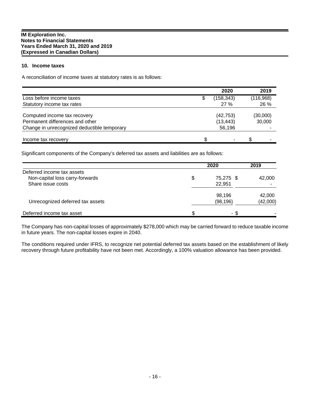# **10. Income taxes**

A reconciliation of income taxes at statutory rates is as follows:

|                                             |   | 2020      |           | 2019     |
|---------------------------------------------|---|-----------|-----------|----------|
| Loss before income taxes                    | S | (158,343) | (116,968) |          |
| Statutory income tax rates                  |   | 27%       |           | 26 %     |
| Computed income tax recovery                |   | (42, 753) |           | (30,000) |
| Permanent differences and other             |   | (13, 443) | 30,000    |          |
| Change in unrecognized deductible temporary |   | 56,196    |           |          |
| Income tax recovery                         |   | ۰         |           |          |

Significant components of the Company's deferred tax assets and liabilities are as follows:

|                                  | 2020            | 2019     |
|----------------------------------|-----------------|----------|
| Deferred income tax assets       |                 |          |
| Non-capital loss carry-forwards  | \$<br>75,275 \$ | 42,000   |
| Share issue costs                | 22,951          |          |
|                                  | 98,196          | 42,000   |
| Unrecognized deferred tax assets | (98, 196)       | (42,000) |
| Deferred income tax asset        | \$<br>- \$      |          |

The Company has non-capital losses of approximately \$278,000 which may be carried forward to reduce taxable income in future years. The non-capital losses expire in 2040.

The conditions required under IFRS, to recognize net potential deferred tax assets based on the establishment of likely recovery through future profitability have not been met. Accordingly, a 100% valuation allowance has been provided.